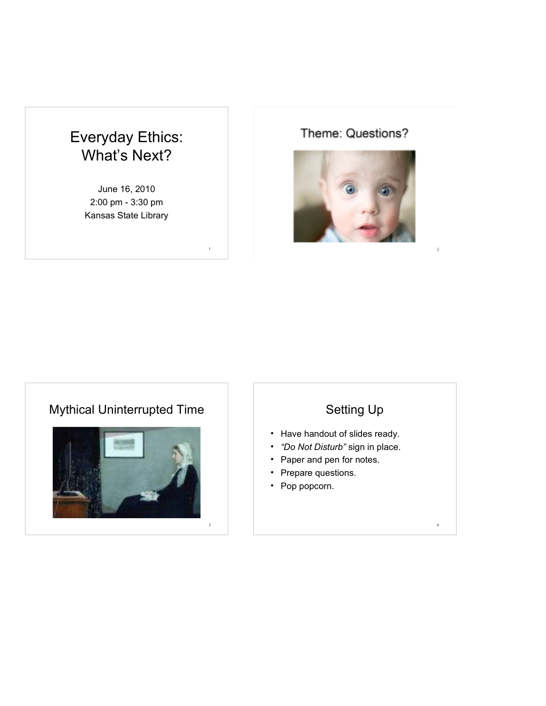# Everyday Ethics: What's Next?

June 16, 2010 2:00 pm - 3:30 pm Kansas State Library

1

#### Theme: Questions?



## Mythical Uninterrupted Time



## Setting Up

- Have handout of slides ready.
- *"Do Not Disturb"* sign in place.
- Paper and pen for notes.
- Prepare questions.
- Pop popcorn.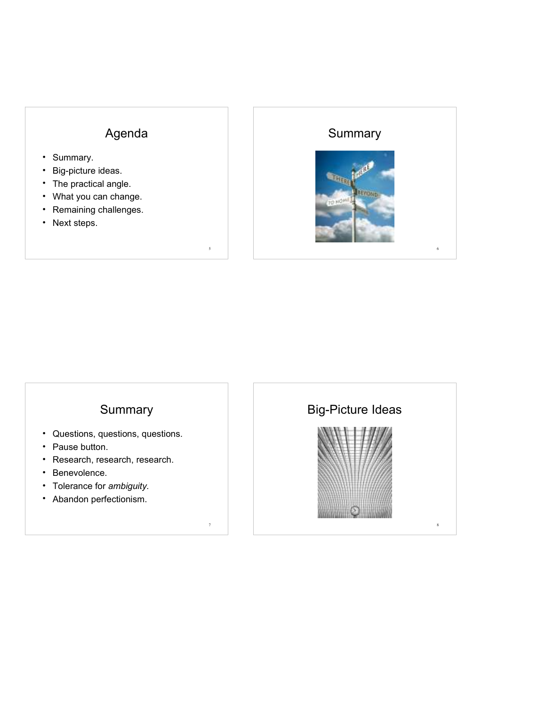### Agenda

5

7

- Summary.
- Big-picture ideas.
- The practical angle.
- What you can change.
- Remaining challenges.
- Next steps.

## Summary



6

#### **Summary**

- Questions, questions, questions.
- Pause button.
- Research, research, research.
- Benevolence.
- Tolerance for *ambiguity.*
- Abandon perfectionism.

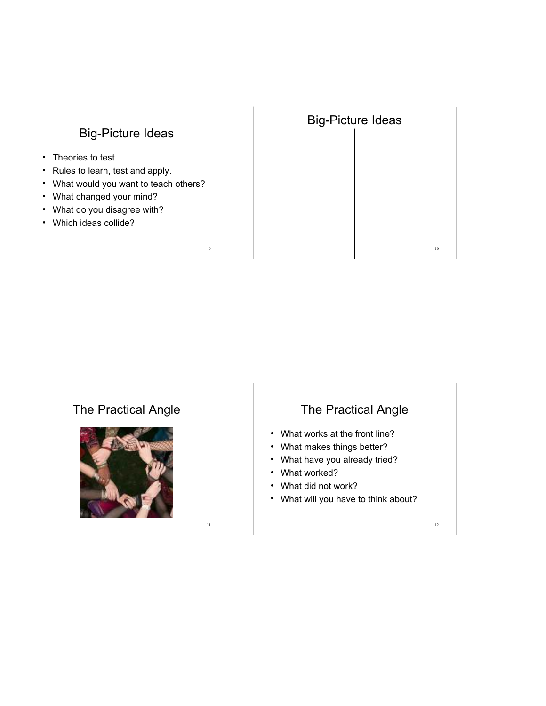#### Big-Picture Ideas

- Theories to test.
- Rules to learn, test and apply.
- What would you want to teach others?

9

11

- What changed your mind?
- What do you disagree with?
- Which ideas collide?

| <b>Big-Picture Ideas</b> |  |    |
|--------------------------|--|----|
|                          |  |    |
|                          |  |    |
|                          |  |    |
|                          |  |    |
|                          |  | 10 |

#### The Practical Angle



## The Practical Angle

- What works at the front line?
- What makes things better?
- What have you already tried?
- What worked?
- What did not work?
- What will you have to think about?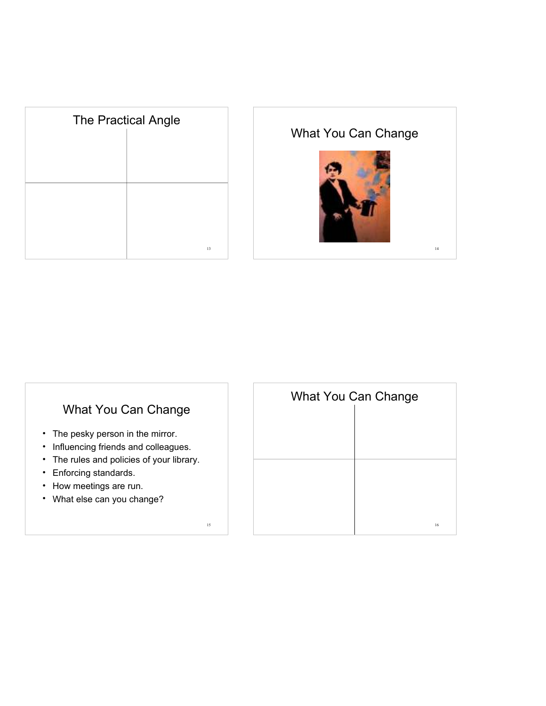| The Practical Angle |    |  |
|---------------------|----|--|
|                     |    |  |
|                     |    |  |
|                     |    |  |
|                     |    |  |
|                     | 13 |  |

## What You Can Change



14

## What You Can Change

- The pesky person in the mirror.
- Influencing friends and colleagues.
- The rules and policies of your library.

- Enforcing standards.
- How meetings are run.
- What else can you change?

| What You Can Change |    |  |
|---------------------|----|--|
|                     |    |  |
|                     |    |  |
|                     |    |  |
|                     |    |  |
|                     |    |  |
|                     | 16 |  |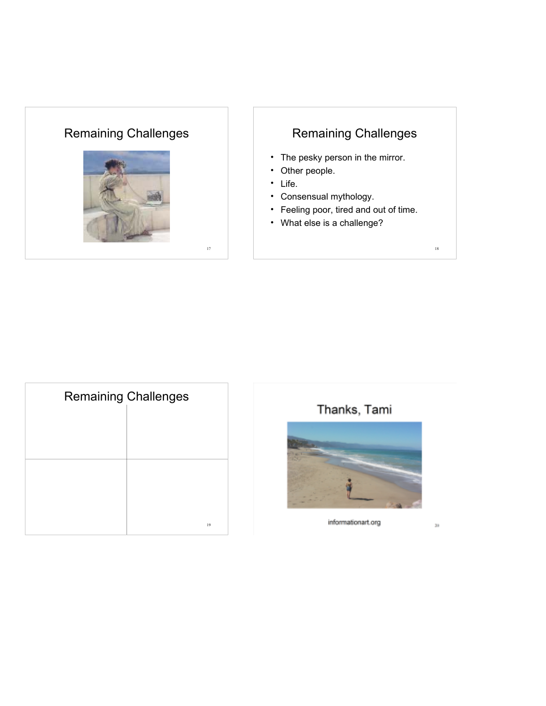## Remaining Challenges



## Remaining Challenges

- The pesky person in the mirror.
- Other people.
- Life.
- Consensual mythology.
- Feeling poor, tired and out of time.
- What else is a challenge?

| <b>Remaining Challenges</b> |    |  |
|-----------------------------|----|--|
|                             |    |  |
|                             |    |  |
|                             |    |  |
|                             |    |  |
|                             | 19 |  |

## Thanks, Tami



informationart.org

 $_{30}$